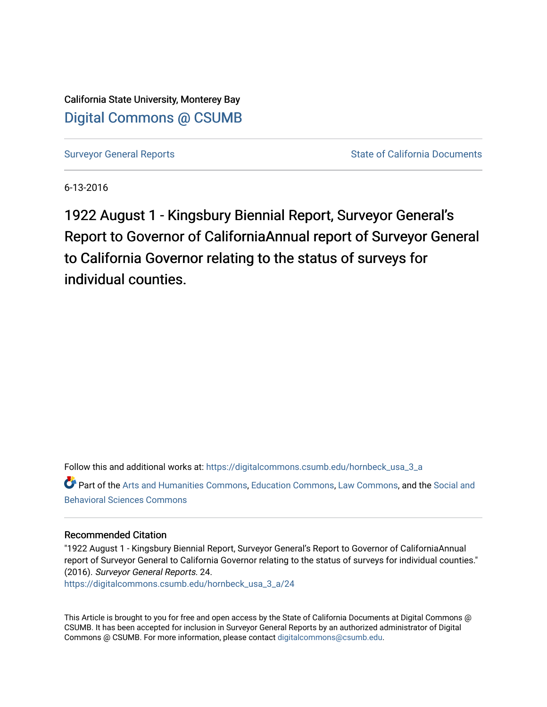California State University, Monterey Bay [Digital Commons @ CSUMB](https://digitalcommons.csumb.edu/)

[Surveyor General Reports](https://digitalcommons.csumb.edu/hornbeck_usa_3_a) **Surveyor General Reports** State of California Documents

6-13-2016

1922 August 1 - Kingsbury Biennial Report, Surveyor General's Report to Governor of CaliforniaAnnual report of Surveyor General to California Governor relating to the status of surveys for individual counties.

Follow this and additional works at: [https://digitalcommons.csumb.edu/hornbeck\\_usa\\_3\\_a](https://digitalcommons.csumb.edu/hornbeck_usa_3_a?utm_source=digitalcommons.csumb.edu%2Fhornbeck_usa_3_a%2F24&utm_medium=PDF&utm_campaign=PDFCoverPages)

Part of the [Arts and Humanities Commons,](http://network.bepress.com/hgg/discipline/438?utm_source=digitalcommons.csumb.edu%2Fhornbeck_usa_3_a%2F24&utm_medium=PDF&utm_campaign=PDFCoverPages) [Education Commons](http://network.bepress.com/hgg/discipline/784?utm_source=digitalcommons.csumb.edu%2Fhornbeck_usa_3_a%2F24&utm_medium=PDF&utm_campaign=PDFCoverPages), [Law Commons,](http://network.bepress.com/hgg/discipline/578?utm_source=digitalcommons.csumb.edu%2Fhornbeck_usa_3_a%2F24&utm_medium=PDF&utm_campaign=PDFCoverPages) and the [Social and](http://network.bepress.com/hgg/discipline/316?utm_source=digitalcommons.csumb.edu%2Fhornbeck_usa_3_a%2F24&utm_medium=PDF&utm_campaign=PDFCoverPages)  [Behavioral Sciences Commons](http://network.bepress.com/hgg/discipline/316?utm_source=digitalcommons.csumb.edu%2Fhornbeck_usa_3_a%2F24&utm_medium=PDF&utm_campaign=PDFCoverPages) 

#### Recommended Citation

"1922 August 1 - Kingsbury Biennial Report, Surveyor General's Report to Governor of CaliforniaAnnual report of Surveyor General to California Governor relating to the status of surveys for individual counties." (2016). Surveyor General Reports. 24.

[https://digitalcommons.csumb.edu/hornbeck\\_usa\\_3\\_a/24](https://digitalcommons.csumb.edu/hornbeck_usa_3_a/24?utm_source=digitalcommons.csumb.edu%2Fhornbeck_usa_3_a%2F24&utm_medium=PDF&utm_campaign=PDFCoverPages) 

This Article is brought to you for free and open access by the State of California Documents at Digital Commons @ CSUMB. It has been accepted for inclusion in Surveyor General Reports by an authorized administrator of Digital Commons @ CSUMB. For more information, please contact [digitalcommons@csumb.edu](mailto:digitalcommons@csumb.edu).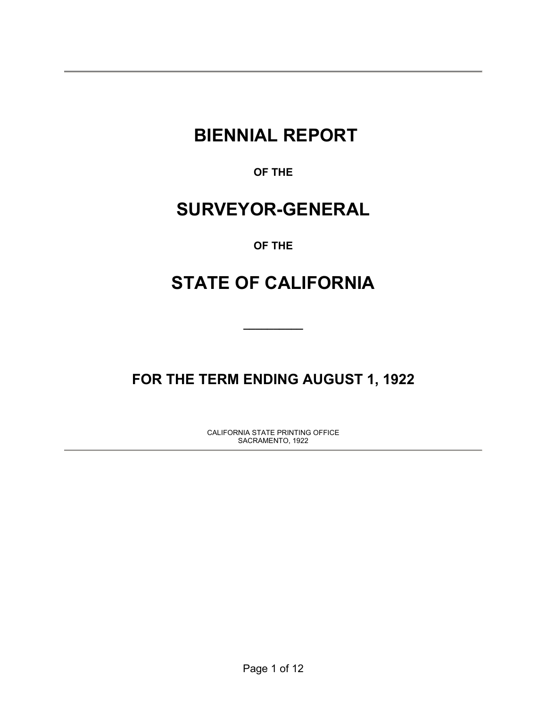# **BIENNIAL REPORT**

**OF THE** 

# **SURVEYOR-GENERAL**

## **OF THE**

# **STATE OF CALIFORNIA**

**\_\_\_\_\_\_\_\_\_\_** 

# **FOR THE TERM ENDING AUGUST 1, 1922**

CALIFORNIA STATE PRINTING OFFICE SACRAMENTO, 1922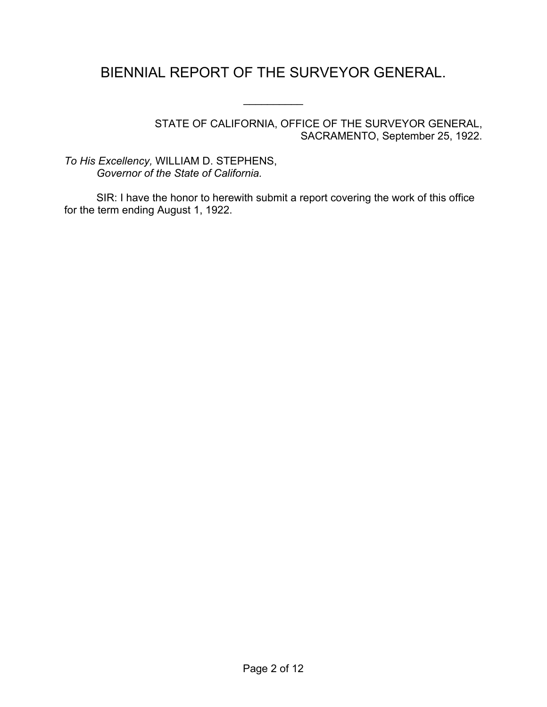## BIENNIAL REPORT OF THE SURVEYOR GENERAL.

 $\frac{1}{2}$ 

STATE OF CALIFORNIA, OFFICE OF THE SURVEYOR GENERAL, SACRAMENTO, September 25, 1922.

*To His Excellency,* WILLIAM D. STEPHENS, *Governor of the State of California.*

SIR: I have the honor to herewith submit a report covering the work of this office for the term ending August 1, 1922.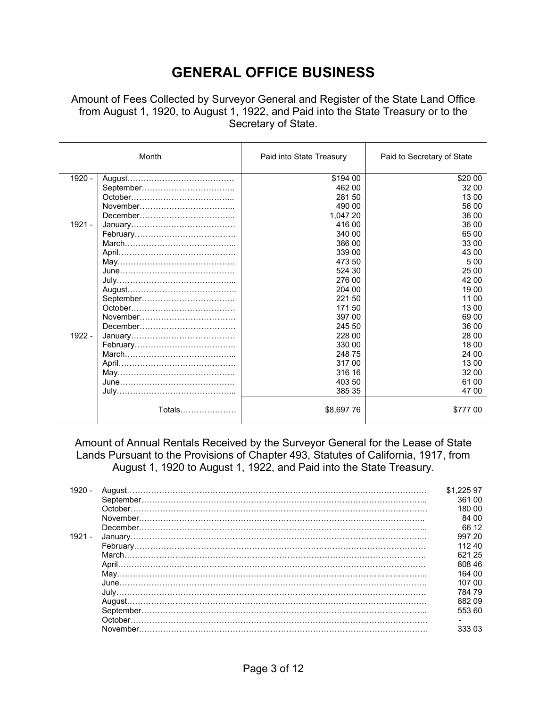## **GENERAL OFFICE BUSINESS**

Amount of Fees Collected by Surveyor General and Register of the State Land Office from August 1, 1920, to August 1, 1922, and Paid into the State Treasury or to the Secretary of State.

|          | Month  | Paid into State Treasury | Paid to Secretary of State |
|----------|--------|--------------------------|----------------------------|
| 1920 -   |        | \$194 00                 | \$20 00                    |
|          |        | 462 00                   | 32 00                      |
|          |        | 281 50                   | 13 00                      |
|          |        | 490 00                   | 56 00                      |
|          |        | 1,047 20                 | 36 00                      |
| 1921 -   |        | 416 00                   | 36 00                      |
|          |        | 340 00                   | 65 00                      |
|          |        | 386 00                   | 33 00                      |
|          |        | 339 00                   | 43 00                      |
|          |        | 473 50                   | 500                        |
|          |        | 524 30                   | 25 00                      |
|          |        | 276 00                   | 42 00                      |
|          |        | 204 00                   | 19 00                      |
|          |        | 221 50                   | 11 00                      |
|          |        | 17150                    | 13 00                      |
|          |        | 397 00                   | 69 00                      |
|          |        | 245 50                   | 36 00                      |
| $1922 -$ |        | 228 00                   | 28 00                      |
|          |        | 330 00                   | 18 00                      |
|          |        | 248 75                   | 24 00                      |
|          |        | 31700                    | 13 00                      |
|          |        | 316 16                   | 32 00                      |
|          |        | 403 50                   | 61 00                      |
|          |        | 385 35                   | 47 00                      |
|          | Totals | \$8,697 76               | \$777 00                   |

Amount of Annual Rentals Received by the Surveyor General for the Lease of State Lands Pursuant to the Provisions of Chapter 493, Statutes of California, 1917, from August 1, 1920 to August 1, 1922, and Paid into the State Treasury.

| $1920 -$ | \$1.225 97 |
|----------|------------|
|          | 361 00     |
|          | 180.00     |
|          | 84 00      |
|          | 66 12      |
| $1921 -$ | 997 20     |
|          | 11240      |
|          | 621 25     |
|          | 808 46     |
|          | 164 00     |
|          | 107 00     |
|          | 784 79     |
|          | 88209      |
|          | 553 60     |
|          |            |
|          | 333 03     |
|          |            |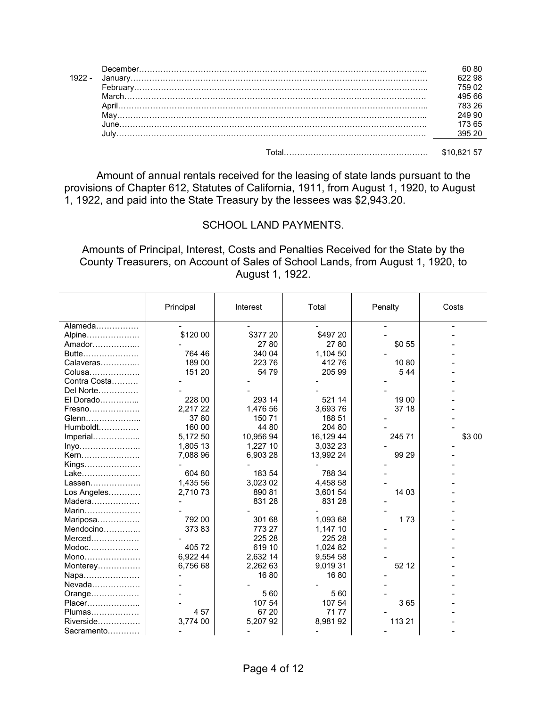|       | 622 98<br>195 66<br>249 90 |
|-------|----------------------------|
|       | 173 65                     |
| Tatal | <b>CAO 004</b>             |

Total……………………………………………… \$10,821 57

 Amount of annual rentals received for the leasing of state lands pursuant to the provisions of Chapter 612, Statutes of California, 1911, from August 1, 1920, to August 1, 1922, and paid into the State Treasury by the lessees was \$2,943.20.

## SCHOOL LAND PAYMENTS.

Amounts of Principal, Interest, Costs and Penalties Received for the State by the County Treasurers, on Account of Sales of School Lands, from August 1, 1920, to August 1, 1922.

|              | Principal | Interest  | Total     | Penalty | Costs  |
|--------------|-----------|-----------|-----------|---------|--------|
| Alameda      |           |           |           |         |        |
| Alpine       | \$120 00  | \$377 20  | \$497 20  |         |        |
| Amador       |           | 27 80     | 27 80     | \$0 55  |        |
| Butte        | 764 46    | 340 04    | 1,104 50  |         |        |
| Calaveras    | 189 00    | 223 76    | 41276     | 1080    |        |
| Colusa       | 151 20    | 54 79     | 205 99    | 544     |        |
| Contra Costa |           |           |           |         |        |
| Del Norte    |           |           |           |         |        |
| El Dorado    | 228 00    | 293 14    | 521 14    | 19 00   |        |
| Fresno       | 2,217 22  | 1,476 56  | 3,693 76  | 37 18   |        |
| Glenn        | 3780      | 150 71    | 188 51    |         |        |
| Humboldt     | 160 00    | 44 80     | 204 80    |         |        |
| Imperial     | 5,172 50  | 10,956 94 | 16,129 44 | 245 71  | \$3 00 |
| Inyo         | 1,805 13  | 1,227 10  | 3,032 23  |         |        |
| Kern         | 7,088 96  | 6,903 28  | 13,992 24 | 99 29   |        |
| Kings        |           |           |           |         |        |
| Lake         | 604 80    | 183 54    | 788 34    |         |        |
| Lassen       | 1,435 56  | 3,023 02  | 4,458 58  |         |        |
| Los Angeles  | 2,710 73  | 890 81    | 3,601 54  | 14 03   |        |
| Madera       |           | 831 28    | 831 28    |         |        |
| Marin        |           |           |           |         |        |
| Mariposa     | 792 00    | 301 68    | 1,093 68  | 173     |        |
| Mendocino    | 37383     | 773 27    | 1,147 10  |         |        |
| Merced       |           | 225 28    | 225 28    |         |        |
| Modoc        | 40572     | 619 10    | 1,024 82  |         |        |
| Mono         | 6,922 44  | 2,632 14  | 9,554 58  |         |        |
| Monterey     | 6,756 68  | 2,262 63  | 9,019 31  | 52 12   |        |
| Napa         |           | 1680      | 1680      |         |        |
| Nevada       |           |           |           |         |        |
| Orange       |           | 560       | 560       |         |        |
| Placer       |           | 107 54    | 107 54    | 365     |        |
| Plumas       | 457       | 67 20     | 7177      |         |        |
| Riverside    | 3,774 00  | 5,20792   | 8,98192   | 113 21  |        |
| Sacramento   |           |           |           |         |        |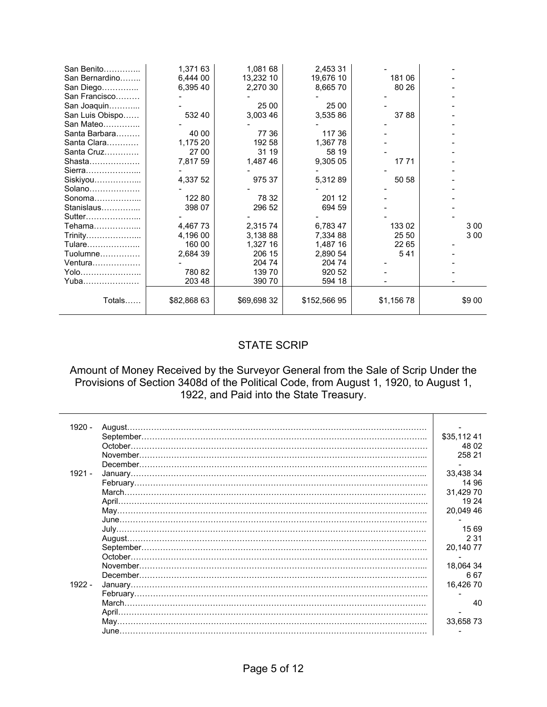| San Benito      | 1,371 63    | 1,081 68    | 2,453 31     |            |        |
|-----------------|-------------|-------------|--------------|------------|--------|
| San Bernardino  | 6,444 00    | 13,232 10   | 19,676 10    | 181 06     |        |
| San Diego       | 6,395 40    | 2,270 30    | 8,66570      | 80 26      |        |
| San Francisco   |             |             |              |            |        |
| San Joaquin     |             | 25 00       | 25 00        |            |        |
| San Luis Obispo | 532 40      | 3,003 46    | 3,535 86     | 3788       |        |
| San Mateo       |             |             |              |            |        |
| Santa Barbara   | 40 00       | 77 36       | 117 36       |            |        |
| Santa Clara     | 1,175 20    | 192 58      | 1,36778      |            |        |
| Santa Cruz      | 27 00       | 31 19       | 58 19        |            |        |
|                 | 7,817 59    | 1,487 46    | 9,305 05     | 17 71      |        |
|                 |             |             |              |            |        |
| Siskiyou        | 4,337 52    | 975 37      | 5,31289      | 50 58      |        |
| Solano          |             |             |              |            |        |
| Sonoma $\ldots$ | 122 80      | 78 32       | 201 12       |            |        |
| Stanislaus      | 398 07      | 296 52      | 694 59       |            |        |
| Sutter          |             |             |              |            |        |
| Tehama………………    | 4,467 73    | 2,31574     | 6,78347      | 133 02     | 300    |
| Trinity         | 4,196 00    | 3,138 88    | 7,334 88     | 25 50      | 3 0 0  |
| Tulare          | 160 00      | 1,327 16    | 1,487 16     | 22 65      |        |
| $Tuolumne$      | 2,684 39    | 206 15      | 2,890 54     | 541        |        |
| Ventura         |             | 204 74      | 204 74       |            |        |
| Yolo            | 780 82      | 13970       | 920 52       |            |        |
| Yuba            | 203 48      | 390 70      | 594 18       |            |        |
|                 |             |             |              |            |        |
| Totals          | \$82,868 63 | \$69,698 32 | \$152,566 95 | \$1,156 78 | \$9 00 |
|                 |             |             |              |            |        |

## STATE SCRIP

### Amount of Money Received by the Surveyor General from the Sale of Scrip Under the Provisions of Section 3408d of the Political Code, from August 1, 1920, to August 1, 1922, and Paid into the State Treasury.

| 1920 -   | August.  |            |
|----------|----------|------------|
|          |          | \$35,11241 |
|          | October. | 48 02      |
|          |          | 258 21     |
|          |          |            |
| $1921 -$ |          | 33.438 34  |
|          |          | 14 96      |
|          |          | 31,429 70  |
|          |          | 19 24      |
|          |          | 20.049 46  |
|          |          |            |
|          |          | 15 69      |
|          |          | 2 3 1      |
|          |          | 20,14077   |
|          |          |            |
|          |          | 18.064 34  |
|          |          | 667        |
| $1922 -$ |          | 16.42670   |
|          |          |            |
|          |          | 40         |
|          | April.   |            |
|          |          | 33,65873   |
|          |          |            |
|          |          |            |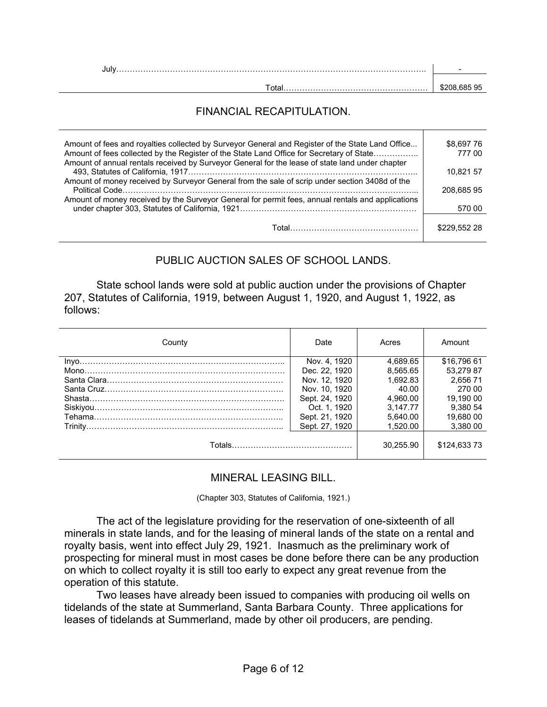| Jul |              |
|-----|--------------|
|     |              |
|     | \$208.685 95 |

## FINANCIAL RECAPITULATION.

| Amount of fees and royalties collected by Surveyor General and Register of the State Land Office<br>Amount of fees collected by the Register of the State Land Office for Secretary of State<br>Amount of annual rentals received by Surveyor General for the lease of state land under chapter | \$8.697 76<br>77700 |
|-------------------------------------------------------------------------------------------------------------------------------------------------------------------------------------------------------------------------------------------------------------------------------------------------|---------------------|
|                                                                                                                                                                                                                                                                                                 | 10.821 57           |
| Amount of money received by Surveyor General from the sale of scrip under section 3408d of the                                                                                                                                                                                                  |                     |
| Amount of money received by the Surveyor General for permit fees, annual rentals and applications                                                                                                                                                                                               | 208.68595           |
|                                                                                                                                                                                                                                                                                                 | 570 00              |
|                                                                                                                                                                                                                                                                                                 | \$229,552 28        |

## PUBLIC AUCTION SALES OF SCHOOL LANDS.

 State school lands were sold at public auction under the provisions of Chapter 207, Statutes of California, 1919, between August 1, 1920, and August 1, 1922, as follows:

| County | Date           | Acres     | Amount      |
|--------|----------------|-----------|-------------|
|        | Nov. 4. 1920   | 4.689.65  | \$16.796 61 |
|        | Dec. 22, 1920  | 8.565.65  | 53.279 87   |
|        | Nov. 12, 1920  | 1.692.83  | 2.656 71    |
|        | Nov. 10, 1920  | 40.00     | 270.00      |
|        | Sept. 24, 1920 | 4.960.00  | 19.190 00   |
|        | Oct. 1. 1920   | 3.147.77  | 9.380 54    |
|        | Sept. 21, 1920 | 5.640.00  | 19.680 00   |
|        | Sept. 27, 1920 | 1.520.00  | 3.380 00    |
|        |                | 30.255.90 | \$124,63373 |

### MINERAL LEASING BILL.

(Chapter 303, Statutes of California, 1921.)

 The act of the legislature providing for the reservation of one-sixteenth of all minerals in state lands, and for the leasing of mineral lands of the state on a rental and royalty basis, went into effect July 29, 1921. Inasmuch as the preliminary work of prospecting for mineral must in most cases be done before there can be any production on which to collect royalty it is still too early to expect any great revenue from the operation of this statute.

 Two leases have already been issued to companies with producing oil wells on tidelands of the state at Summerland, Santa Barbara County. Three applications for leases of tidelands at Summerland, made by other oil producers, are pending.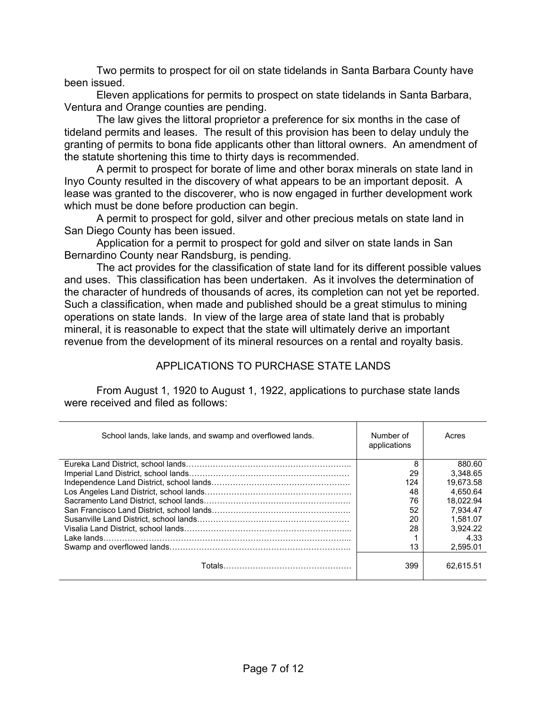Two permits to prospect for oil on state tidelands in Santa Barbara County have been issued.

 Eleven applications for permits to prospect on state tidelands in Santa Barbara, Ventura and Orange counties are pending.

 The law gives the littoral proprietor a preference for six months in the case of tideland permits and leases. The result of this provision has been to delay unduly the granting of permits to bona fide applicants other than littoral owners. An amendment of the statute shortening this time to thirty days is recommended.

 A permit to prospect for borate of lime and other borax minerals on state land in Inyo County resulted in the discovery of what appears to be an important deposit. A lease was granted to the discoverer, who is now engaged in further development work which must be done before production can begin.

 A permit to prospect for gold, silver and other precious metals on state land in San Diego County has been issued.

 Application for a permit to prospect for gold and silver on state lands in San Bernardino County near Randsburg, is pending.

 The act provides for the classification of state land for its different possible values and uses. This classification has been undertaken. As it involves the determination of the character of hundreds of thousands of acres, its completion can not yet be reported. Such a classification, when made and published should be a great stimulus to mining operations on state lands. In view of the large area of state land that is probably mineral, it is reasonable to expect that the state will ultimately derive an important revenue from the development of its mineral resources on a rental and royalty basis.

## APPLICATIONS TO PURCHASE STATE LANDS

From August 1, 1920 to August 1, 1922, applications to purchase state lands were received and filed as follows:

| School lands, lake lands, and swamp and overflowed lands. | Number of<br>applications | Acres     |
|-----------------------------------------------------------|---------------------------|-----------|
|                                                           | 8                         | 880.60    |
|                                                           | 29                        | 3.348.65  |
|                                                           | 124                       | 19.673.58 |
|                                                           | 48                        | 4.650.64  |
|                                                           | 76                        | 18.022.94 |
|                                                           | 52                        | 7.934.47  |
|                                                           | 20                        | 1.581.07  |
|                                                           | 28                        | 3.924.22  |
| I ake lands.                                              |                           | 4.33      |
|                                                           | 13                        | 2.595.01  |
|                                                           | 399                       | 62.615.51 |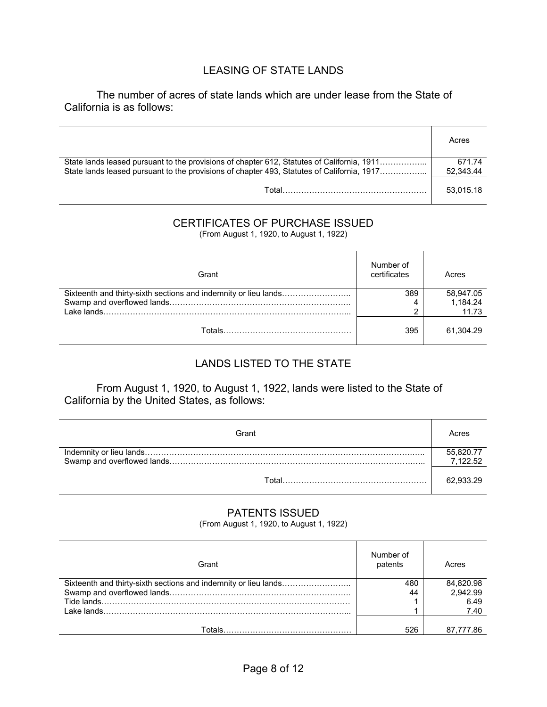## LEASING OF STATE LANDS

 The number of acres of state lands which are under lease from the State of California is as follows:

|                                                                                                                                                                                          | Acres               |
|------------------------------------------------------------------------------------------------------------------------------------------------------------------------------------------|---------------------|
| State lands leased pursuant to the provisions of chapter 612, Statutes of California, 1911<br>State lands leased pursuant to the provisions of chapter 493, Statutes of California, 1917 | 671.74<br>52.343.44 |
| Total                                                                                                                                                                                    | 53.015.18           |

## CERTIFICATES OF PURCHASE ISSUED

(From August 1, 1920, to August 1, 1922)

| Grant | Number of<br>certificates | Acres             |
|-------|---------------------------|-------------------|
|       | 389                       | 58,947.05         |
|       | ົ                         | 1.184.24<br>11.73 |
|       | 395                       | 61.304.29         |

## LANDS LISTED TO THE STATE

 From August 1, 1920, to August 1, 1922, lands were listed to the State of California by the United States, as follows:

| Grant | Acres                 |
|-------|-----------------------|
|       | 55,820.77<br>7,122.52 |
|       | 62.933.29             |

## PATENTS ISSUED

(From August 1, 1920, to August 1, 1922)

| Grant                                                           | Number of<br>patents | Acres     |
|-----------------------------------------------------------------|----------------------|-----------|
| Sixteenth and thirty-sixth sections and indemnity or lieu lands | 480                  | 84,820.98 |
|                                                                 | 44                   | 2,942.99  |
|                                                                 |                      | 6.49      |
|                                                                 |                      | 7.40      |
|                                                                 |                      |           |
|                                                                 | 526                  | 87.777.86 |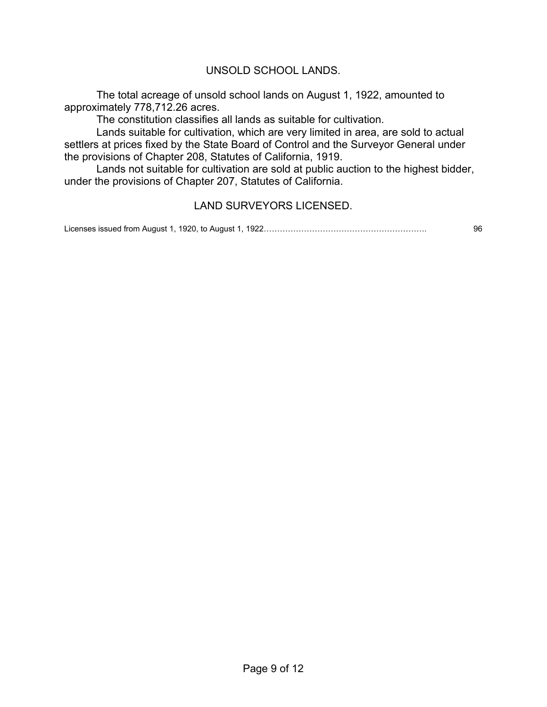## UNSOLD SCHOOL LANDS.

 The total acreage of unsold school lands on August 1, 1922, amounted to approximately 778,712.26 acres.

The constitution classifies all lands as suitable for cultivation.

 Lands suitable for cultivation, which are very limited in area, are sold to actual settlers at prices fixed by the State Board of Control and the Surveyor General under the provisions of Chapter 208, Statutes of California, 1919.

 Lands not suitable for cultivation are sold at public auction to the highest bidder, under the provisions of Chapter 207, Statutes of California.

### LAND SURVEYORS LICENSED.

Licenses issued from August 1, 1920, to August 1, 1922……………………………………………………. 96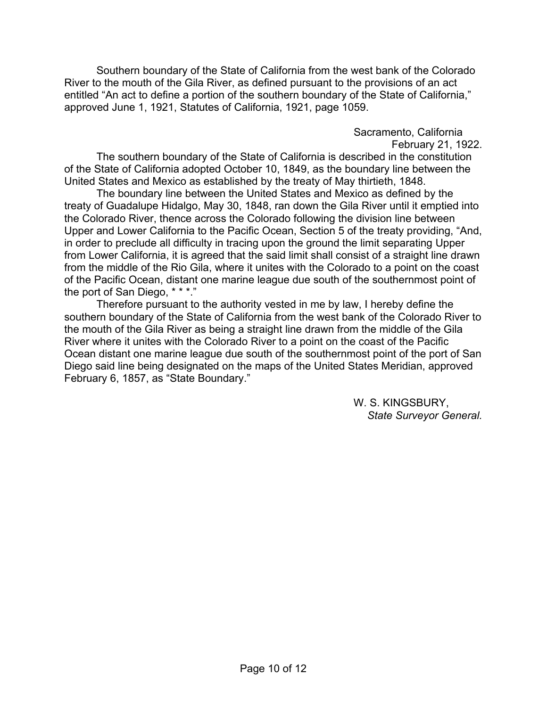Southern boundary of the State of California from the west bank of the Colorado River to the mouth of the Gila River, as defined pursuant to the provisions of an act entitled "An act to define a portion of the southern boundary of the State of California," approved June 1, 1921, Statutes of California, 1921, page 1059.

> Sacramento, California February 21, 1922.

 The southern boundary of the State of California is described in the constitution of the State of California adopted October 10, 1849, as the boundary line between the United States and Mexico as established by the treaty of May thirtieth, 1848.

 The boundary line between the United States and Mexico as defined by the treaty of Guadalupe Hidalgo, May 30, 1848, ran down the Gila River until it emptied into the Colorado River, thence across the Colorado following the division line between Upper and Lower California to the Pacific Ocean, Section 5 of the treaty providing, "And, in order to preclude all difficulty in tracing upon the ground the limit separating Upper from Lower California, it is agreed that the said limit shall consist of a straight line drawn from the middle of the Rio Gila, where it unites with the Colorado to a point on the coast of the Pacific Ocean, distant one marine league due south of the southernmost point of the port of San Diego, \* \* \*."

 Therefore pursuant to the authority vested in me by law, I hereby define the southern boundary of the State of California from the west bank of the Colorado River to the mouth of the Gila River as being a straight line drawn from the middle of the Gila River where it unites with the Colorado River to a point on the coast of the Pacific Ocean distant one marine league due south of the southernmost point of the port of San Diego said line being designated on the maps of the United States Meridian, approved February 6, 1857, as "State Boundary."

> W. S. KINGSBURY, *State Surveyor General.*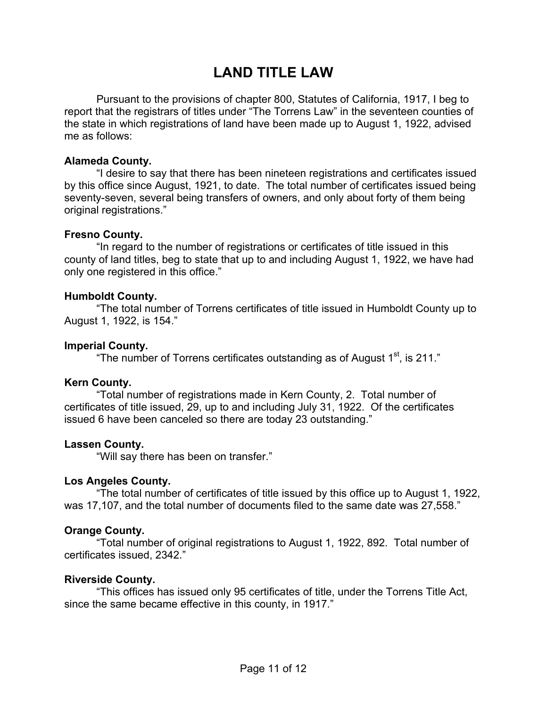## **LAND TITLE LAW**

 Pursuant to the provisions of chapter 800, Statutes of California, 1917, I beg to report that the registrars of titles under "The Torrens Law" in the seventeen counties of the state in which registrations of land have been made up to August 1, 1922, advised me as follows:

### **Alameda County.**

 "I desire to say that there has been nineteen registrations and certificates issued by this office since August, 1921, to date. The total number of certificates issued being seventy-seven, several being transfers of owners, and only about forty of them being original registrations."

### **Fresno County.**

 "In regard to the number of registrations or certificates of title issued in this county of land titles, beg to state that up to and including August 1, 1922, we have had only one registered in this office."

### **Humboldt County.**

 "The total number of Torrens certificates of title issued in Humboldt County up to August 1, 1922, is 154."

### **Imperial County.**

"The number of Torrens certificates outstanding as of August  $1<sup>st</sup>$ , is 211."

### **Kern County.**

 "Total number of registrations made in Kern County, 2. Total number of certificates of title issued, 29, up to and including July 31, 1922. Of the certificates issued 6 have been canceled so there are today 23 outstanding."

### **Lassen County.**

"Will say there has been on transfer."

### **Los Angeles County.**

 "The total number of certificates of title issued by this office up to August 1, 1922, was 17,107, and the total number of documents filed to the same date was 27,558."

### **Orange County.**

"Total number of original registrations to August 1, 1922, 892. Total number of certificates issued, 2342."

### **Riverside County.**

 "This offices has issued only 95 certificates of title, under the Torrens Title Act, since the same became effective in this county, in 1917."